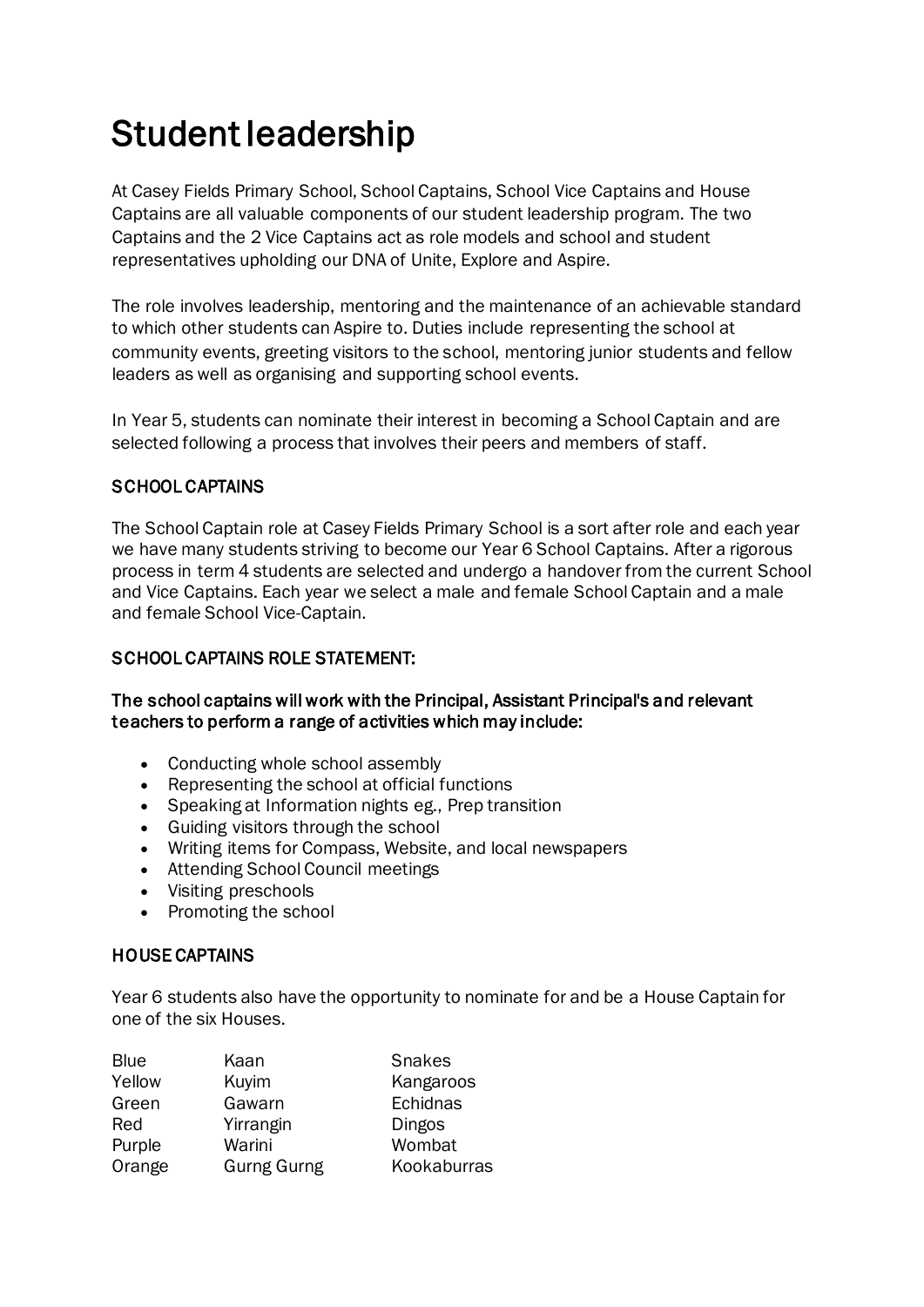# Student leadership

At Casey Fields Primary School, School Captains, School Vice Captains and House Captains are all valuable components of our student leadership program. The two Captains and the 2 Vice Captains act as role models and school and student representatives upholding our DNA of Unite, Explore and Aspire.

The role involves leadership, mentoring and the maintenance of an achievable standard to which other students can Aspire to. Duties include representing the school at community events, greeting visitors to the school, mentoring junior students and fellow leaders as well as organising and supporting school events.

In Year 5, students can nominate their interest in becoming a School Captain and are selected following a process that involves their peers and members of staff.

## SCHOOL CAPTAINS

The School Captain role at Casey Fields Primary School is a sort after role and each year we have many students striving to become our Year 6 School Captains. After a rigorous process in term 4 students are selected and undergo a handover from the current School and Vice Captains. Each year we select a male and female School Captain and a male and female School Vice-Captain.

## SCHOOL CAPTAINS ROLE STATEMENT:

#### The school captains will work with the Principal, Assistant Principal's and relevant teachers to perform a range of activities which may include:

- Conducting whole school assembly
- Representing the school at official functions
- Speaking at Information nights eg., Prep transition
- Guiding visitors through the school
- Writing items for Compass, Website, and local newspapers
- Attending School Council meetings
- Visiting preschools
- Promoting the school

## HOUSE CAPTAINS

Year 6 students also have the opportunity to nominate for and be a House Captain for one of the six Houses.

| <b>Blue</b> | Kaan               | <b>Snakes</b> |
|-------------|--------------------|---------------|
| Yellow      | Kuyim              | Kangaroos     |
| Green       | Gawarn             | Echidnas      |
| Red         | Yirrangin          | Dingos        |
| Purple      | Warini             | Wombat        |
| Orange      | <b>Gurng Gurng</b> | Kookaburras   |